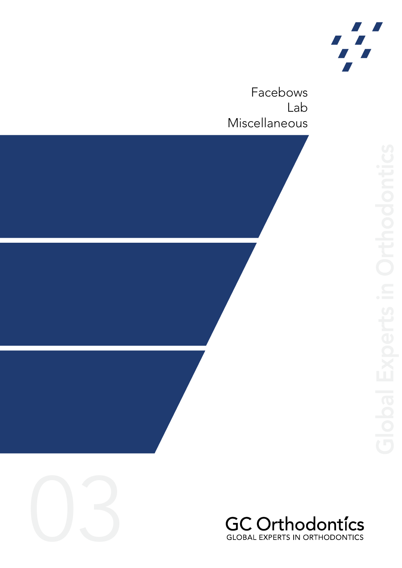

Facebows Lab Miscellaneous





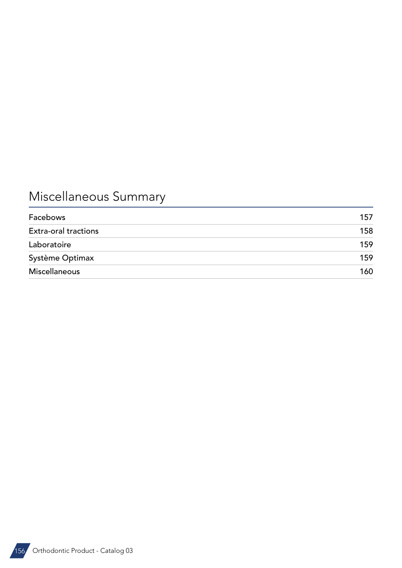# Miscellaneous Summary

| Facebows                    | 157 |
|-----------------------------|-----|
| <b>Extra-oral tractions</b> | 158 |
| Laboratoire                 | 159 |
| Système Optimax             | 159 |
| <b>Miscellaneous</b>        | 160 |

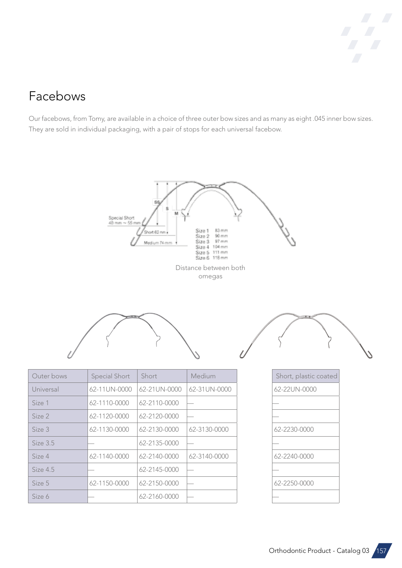

#### <span id="page-2-0"></span>Facebows

Our facebows, from Tomy, are available in a choice of three outer bow sizes and as many as eight .045 inner bow sizes. They are sold in individual packaging, with a pair of stops for each universal facebow.

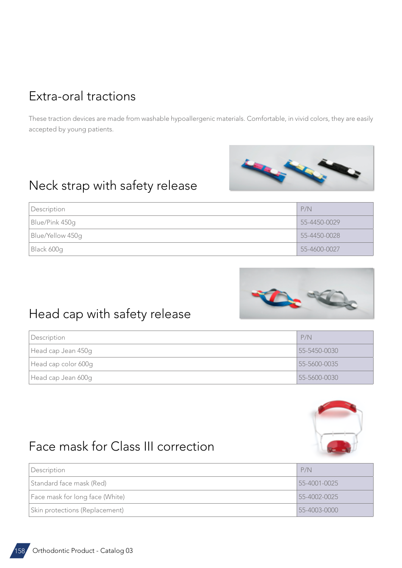#### <span id="page-3-0"></span>Extra-oral tractions

These traction devices are made from washable hypoallergenic materials. Comfortable, in vivid colors, they are easily accepted by young patients.

#### Neck strap with safety release





#### Head cap with safety release

| Description         | P/N                |
|---------------------|--------------------|
| Head cap Jean 450g  | $55 - 5450 - 0030$ |
| Head cap color 600g | 55-5600-0035       |
| Head cap Jean 600g  | 55-5600-0030       |



### Face mask for Class III correction

| Description                     | P/N                |
|---------------------------------|--------------------|
| Standard face mask (Red)        | 55-4001-0025       |
| Face mask for long face (White) | 55-4002-0025       |
| Skin protections (Replacement)  | $55 - 4003 - 0000$ |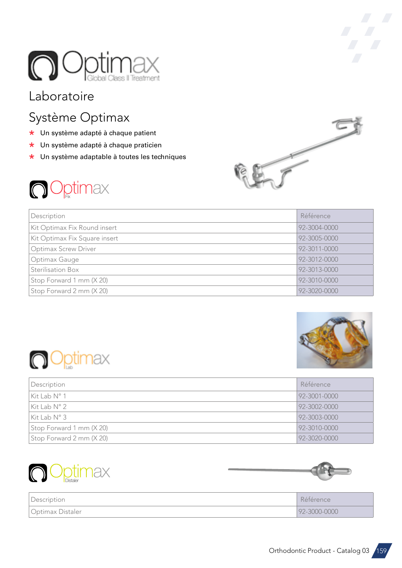<span id="page-4-0"></span>

#### Laboratoire

### Système Optimax

- \* Un système adapté à chaque patient
- \* Un système adapté à chaque praticien
- \* Un système adaptable à toutes les techniques



| Description                   | Référence    |
|-------------------------------|--------------|
| Kit Optimax Fix Round insert  | 92-3004-0000 |
| Kit Optimax Fix Square insert | 92-3005-0000 |
| <b>Optimax Screw Driver</b>   | 92-3011-0000 |
| Optimax Gauge                 | 92-3012-0000 |
| Sterilisation Box             | 92-3013-0000 |
| Stop Forward 1 mm (X 20)      | 92-3010-0000 |
| Stop Forward 2 mm (X 20)      | 92-3020-0000 |





| Description              | Référence    |
|--------------------------|--------------|
| Kit Lab N° 1             | 92-3001-0000 |
| Kit Lab N° 2             | 92-3002-0000 |
| Kit Lab $N^{\circ}$ 3    | 92-3003-0000 |
| Stop Forward 1 mm (X 20) | 92-3010-0000 |
| Stop Forward 2 mm (X 20) | 92-3020-0000 |





Ú.

| Description      | Référence    |
|------------------|--------------|
| Optimax Distaler | 92-3000-0000 |

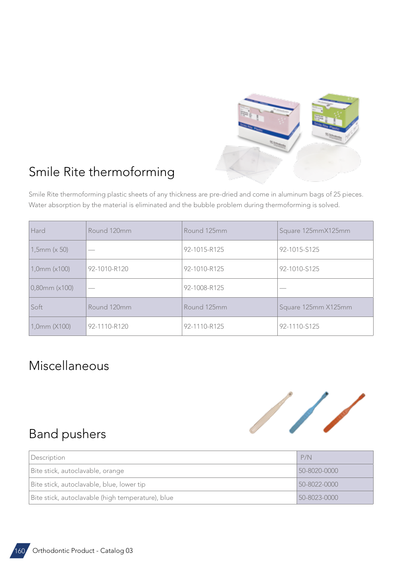

## <span id="page-5-0"></span>Smile Rite thermoforming

Smile Rite thermoforming plastic sheets of any thickness are pre-dried and come in aluminum bags of 25 pieces. Water absorption by the material is eliminated and the bubble problem during thermoforming is solved.

| Hard               | Round 120mm  | Round 125mm  | Square 125mmX125mm  |
|--------------------|--------------|--------------|---------------------|
| $1,5$ mm (x 50)    |              | 92-1015-R125 | 92-1015-S125        |
| 1,0mm (x100)       | 92-1010-R120 | 92-1010-R125 | 92-1010-S125        |
| $0,80$ mm $(x100)$ |              | 92-1008-R125 |                     |
| Soft               | Round 120mm  | Round 125mm  | Square 125mm X125mm |
| 1,0mm (X100)       | 92-1110-R120 | 92-1110-R125 | 92-1110-S125        |

#### Miscellaneous



#### Band pushers

| Description                                       | P/N          |
|---------------------------------------------------|--------------|
| Bite stick, autoclavable, orange                  | 50-8020-0000 |
| Bite stick, autoclavable, blue, lower tip         | 50-8022-0000 |
| Bite stick, autoclavable (high temperature), blue | 50-8023-0000 |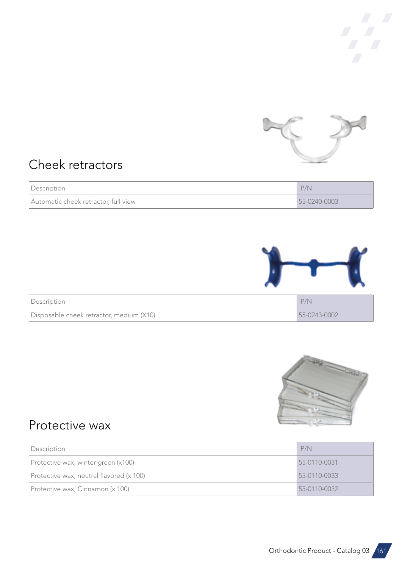

## Cheek retractors

| Description                          | P/N          |
|--------------------------------------|--------------|
| Automatic cheek retractor, full view | 55-0240-0003 |



| Description                              | P/N          |
|------------------------------------------|--------------|
| Disposable cheek retractor, medium (X10) | 55-0243-0002 |



### Protective wax

| Description                              | P/N          |
|------------------------------------------|--------------|
| Protective wax, winter green (x100)      | 55-0110-0031 |
| Protective wax, neutral flavored (x 100) | 55-0110-0033 |
| Protective wax, Cinnamon (x 100)         | 55-0110-0032 |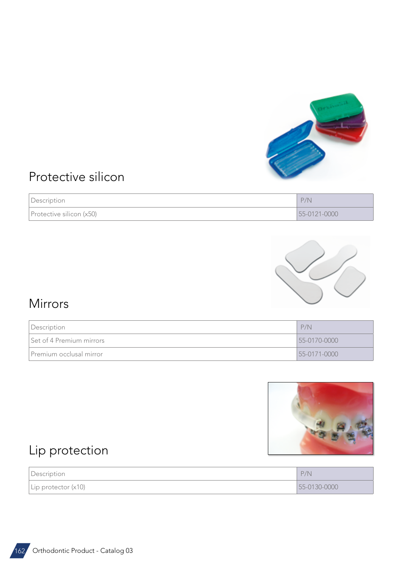

### Protective silicon

| Description              | P/N          |
|--------------------------|--------------|
| Protective silicon (x50) | 55-0121-0000 |



### Mirrors

| Description              | P/N          |
|--------------------------|--------------|
| Set of 4 Premium mirrors | 55-0170-0000 |
| Premium occlusal mirror  | 55-0171-0000 |



## Lip protection

| Description                 | P/N          |
|-----------------------------|--------------|
| $\vert$ Lip protector (x10) | 55-0130-0000 |